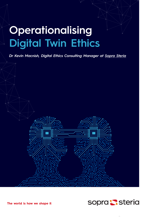## **Operationalising Digital Twin Ethics**

*Dr Kevin Macnish, Digital Ethics Consulting Manager at [Sopra Steria](https://www.soprasteria.co.uk/)*

**The world is how we shape it**

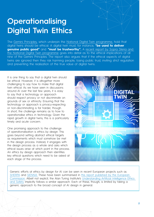## **Operationalising Digital Twin Ethics**

The [Gemini Principles,](https://www.cdbb.cam.ac.uk/DFTG/GeminiPrinciples) which underpin the [National Digital Twin programme,](https://www.cdbb.cam.ac.uk/what-we-do/national-digital-twin-programme) hold that digital twins should be ethical. A digital twin must, for instance, **"be used to deliver genuine public good"** and "must be trustworthy". A recent report by Sopra Steria and [the National Digital Twin programme](https://digitaltwinhub.co.uk/projects/digital-ethics/) goes into detail as to the ethical implications of all nine of the Gemini Principles. The report also argues that if the ethical aspects of digital twins are ignored then they risk harming people, losing public trust, inviting strict regulation and preventing the realisation of the true value of digital twins.

It is one thing to say that a digital twin should be ethical. However, it is altogether more challenging to say how to make that digital twin ethical. As we have seen in discussions around AI over the last few years, it is easy to say that a technology or approach should respect privacy or not discriminate on grounds of sex or ethnicity. Ensuring that the technology or approach is privacy-respecting or non-discriminating is far harder, though. In short, the challenge remains as to how to operationalise ethics in technology. Given the rapid growth in digital twins, this is a particularly timely and acute concern.

One promising approach to the challenge of operationalisation is ethics by design. This goes beyond setting abstract ethical targets as requirements which must somehow be met in the design process. Instead, it engages with the design process as a whole and asks which ethical issues arise at which point in the process. An ethics by design approach then identifies key ethical questions which need to be asked at each stage of the process.



Generic efforts at ethics by design for AI can be seen in recent European projects such as [SHERPA](https://www.project-sherpa.eu/guidelines/) and [SIENNA.](https://zenodo.org/record/5541539#.YnTUcOhBxPZ) These have been summarised in [this report published by the European](https://ec.europa.eu/info/funding-tenders/opportunities/docs/2021-2027/horizon/guidance/ethics-by-design-and-ethics-of-use-approaches-for-artificial-intelligence_he_en.pdf)  [Commission.](https://ec.europa.eu/info/funding-tenders/opportunities/docs/2021-2027/horizon/guidance/ethics-by-design-and-ethics-of-use-approaches-for-artificial-intelligence_he_en.pdf) Albeit not explicit, the Alan Turing Institute's [Understanding Artificial Intelligence Ethics](https://ec.europa.eu/info/funding-tenders/opportunities/docs/2021-2027/horizon/guidance/ethics-by-design-and-ethics-of-use-approaches-for-artificial-intelligence_he_en.pdf)  [and Safety](https://ec.europa.eu/info/funding-tenders/opportunities/docs/2021-2027/horizon/guidance/ethics-by-design-and-ethics-of-use-approaches-for-artificial-intelligence_he_en.pdf) implicitly follows a similar approach. Each of these, though, is limited by taking a generic approach to the broad concept of AI design in general.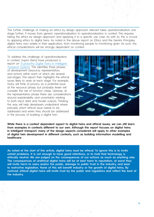This further challenge of making an ethics by design approach relevant takes operationalisation one stage further. It moves from generic operationalisation to operationalisation in context. This requires taking the ethics by design approach and applying it to a specific use case. As with AI, this is crucial to applying ethics to digital twins. As noted in the above report on Ethics and the Gemini Principles, digital twins vary widely in their application, from monitoring people to monitoring grain. As such, the ethical considerations will be strongly dependent on context.

To address this challenge of operationalisation in context, Sopra Steria have produced a report on [Trustworthy Digital Twins in Intelligent](https://www.soprasteria.co.uk/docs/librariesprovider2/sopra-steria-uk-documents/thought-leadership/trustworthy-digital-twins-in-intelligent-transport-systems.pdf?sfvrsn=93f8d6dc_1)  [Transport Systems.](https://www.soprasteria.co.uk/docs/librariesprovider2/sopra-steria-uk-documents/thought-leadership/trustworthy-digital-twins-in-intelligent-transport-systems.pdf?sfvrsn=93f8d6dc_1) This identifies three phases of development (resource, representation, and action) within each of which are several sub-stages. The report then highlights the ethical issues likely to arise at each stage. For example, many will think of privacy as a potential issue at the resource phase, but probably fewer will consider the risk of function creep. Likewise, at the representation phase there are considerations around explainability and uncertainty relating to both input data and model outputs. Thinking this way will help developers understand where precisely which ethical issue needs to be addressed and when they should be addressed in the process of building a digital twin.



**While there is a context dependent aspect to digital twins and ethical issues, we can still learn from examples in contexts different to our own. Although the report focuses on digital twins in intelligent transport, many of the design aspects considered will apply to other examples of digital twin development in different contexts, such as building information modelling and healthcare.**

**As noted at the start of this article, digital twins must be ethical. To ignore this is to invite untold problems. It is not enough to have good intentions, or to hold that technology is ethically neutral. We are judged on the consequences of our actions as much as anything else. The consequences of unethical digital twins will be** *at best* **harm to reputation, at worst they will invite harm to users and/or the public, damage to public trust in the industry, and lead to restrictive legislation. None of this will benefit industry or the growth of digital twins. By contrast,** *ethical* **digital twins will invite trust by the public and regulators and reflect the best of the industry.**